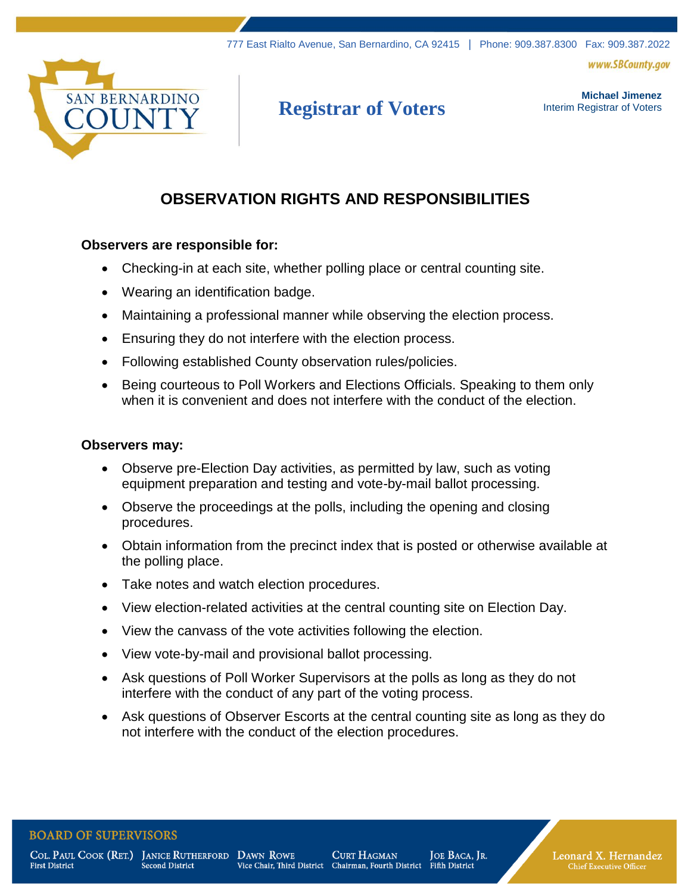www.SBCounty.gov



# **Registrar of Voters**

**Michael Jimenez**  Interim Registrar of Voters

# **OBSERVATION RIGHTS AND RESPONSIBILITIES**

#### **Observers are responsible for:**

- Checking-in at each site, whether polling place or central counting site.
- Wearing an identification badge.
- Maintaining a professional manner while observing the election process.
- Ensuring they do not interfere with the election process.
- Following established County observation rules/policies.
- Being courteous to Poll Workers and Elections Officials. Speaking to them only when it is convenient and does not interfere with the conduct of the election.

#### **Observers may:**

- Observe pre-Election Day activities, as permitted by law, such as voting equipment preparation and testing and vote-by-mail ballot processing.
- Observe the proceedings at the polls, including the opening and closing procedures.
- Obtain information from the precinct index that is posted or otherwise available at the polling place.
- Take notes and watch election procedures.
- View election-related activities at the central counting site on Election Day.
- View the canvass of the vote activities following the election.
- View vote-by-mail and provisional ballot processing.
- Ask questions of Poll Worker Supervisors at the polls as long as they do not interfere with the conduct of any part of the voting process.
- Ask questions of Observer Escorts at the central counting site as long as they do not interfere with the conduct of the election procedures.

#### **BOARD OF SUPERVISORS**

**First District** 

COL. PAUL COOK (RET.) JANICE RUTHERFORD DAWN ROWE **Second District** 

**CURT HAGMAN** Vice Chair, Third District Chairman, Fourth District

JOE BACA, JR. Fifth District

Leonard X. Hernandez **Chief Executive Officer**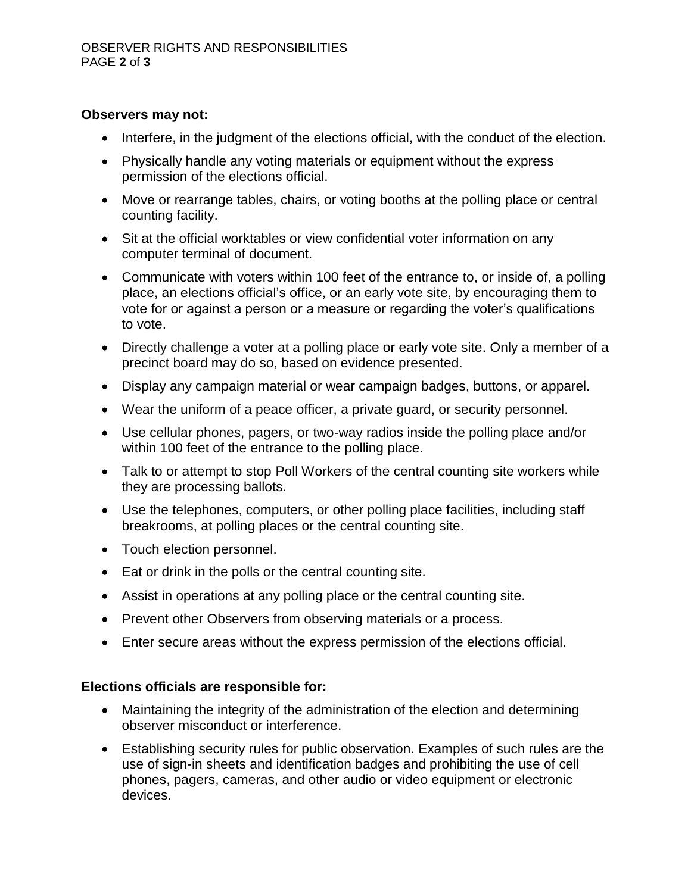#### **Observers may not:**

- Interfere, in the judgment of the elections official, with the conduct of the election.
- Physically handle any voting materials or equipment without the express permission of the elections official.
- Move or rearrange tables, chairs, or voting booths at the polling place or central counting facility.
- Sit at the official worktables or view confidential voter information on any computer terminal of document.
- Communicate with voters within 100 feet of the entrance to, or inside of, a polling place, an elections official's office, or an early vote site, by encouraging them to vote for or against a person or a measure or regarding the voter's qualifications to vote.
- Directly challenge a voter at a polling place or early vote site. Only a member of a precinct board may do so, based on evidence presented.
- Display any campaign material or wear campaign badges, buttons, or apparel.
- Wear the uniform of a peace officer, a private guard, or security personnel.
- Use cellular phones, pagers, or two-way radios inside the polling place and/or within 100 feet of the entrance to the polling place.
- Talk to or attempt to stop Poll Workers of the central counting site workers while they are processing ballots.
- Use the telephones, computers, or other polling place facilities, including staff breakrooms, at polling places or the central counting site.
- Touch election personnel.
- Eat or drink in the polls or the central counting site.
- Assist in operations at any polling place or the central counting site.
- Prevent other Observers from observing materials or a process.
- Enter secure areas without the express permission of the elections official.

#### **Elections officials are responsible for:**

- Maintaining the integrity of the administration of the election and determining observer misconduct or interference.
- Establishing security rules for public observation. Examples of such rules are the use of sign-in sheets and identification badges and prohibiting the use of cell phones, pagers, cameras, and other audio or video equipment or electronic devices.